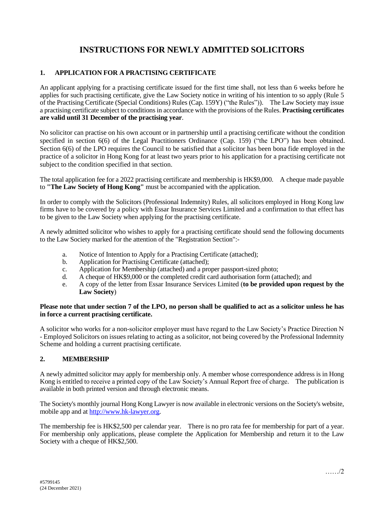# **INSTRUCTIONS FOR NEWLY ADMITTED SOLICITORS**

## **1. APPLICATION FOR A PRACTISING CERTIFICATE**

An applicant applying for a practising certificate issued for the first time shall, not less than 6 weeks before he applies for such practising certificate, give the Law Society notice in writing of his intention to so apply (Rule 5 of the Practising Certificate (Special Conditions) Rules (Cap. 159Y) ("the Rules")). The Law Society may issue a practising certificate subject to conditions in accordance with the provisions of the Rules. **Practising certificates are valid until 31 December of the practising year**.

No solicitor can practise on his own account or in partnership until a practising certificate without the condition specified in section 6(6) of the Legal Practitioners Ordinance (Cap. 159) ("the LPO") has been obtained. Section 6(6) of the LPO requires the Council to be satisfied that a solicitor has been bona fide employed in the practice of a solicitor in Hong Kong for at least two years prior to his application for a practising certificate not subject to the condition specified in that section.

The total application fee for a 2022 practising certificate and membership is HK\$9,000. A cheque made payable to **"The Law Society of Hong Kong"** must be accompanied with the application.

In order to comply with the Solicitors (Professional Indemnity) Rules, all solicitors employed in Hong Kong law firms have to be covered by a policy with Essar Insurance Services Limited and a confirmation to that effect has to be given to the Law Society when applying for the practising certificate.

A newly admitted solicitor who wishes to apply for a practising certificate should send the following documents to the Law Society marked for the attention of the "Registration Section":-

- a. Notice of Intention to Apply for a Practising Certificate (attached);
- b. Application for Practising Certificate (attached);
- c. Application for Membership (attached) and a proper passport-sized photo;
- d. A cheque of HK\$9,000 or the completed credit card authorisation form (attached); and
- e. A copy of the letter from Essar Insurance Services Limited (**to be provided upon request by the Law Society**)

#### **Please note that under section 7 of the LPO, no person shall be qualified to act as a solicitor unless he has in force a current practising certificate.**

A solicitor who works for a non-solicitor employer must have regard to the Law Society's Practice Direction N - Employed Solicitors on issues relating to acting as a solicitor, not being covered by the Professional Indemnity Scheme and holding a current practising certificate.

### **2. MEMBERSHIP**

A newly admitted solicitor may apply for membership only. A member whose correspondence address is in Hong Kong is entitled to receive a printed copy of the Law Society's Annual Report free of charge. The publication is available in both printed version and through electronic means.

The Society's monthly journal Hong Kong Lawyer is now available in electronic versions on the Society's website, mobile app and at [http://www.hk-lawyer.org.](http://www.hk-lawyer.org/)

The membership fee is HK\$2,500 per calendar year. There is no pro rata fee for membership for part of a year. For membership only applications, please complete the Application for Membership and return it to the Law Society with a cheque of HK\$2,500.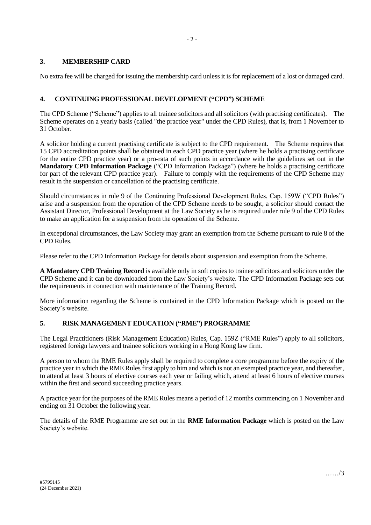## **3. MEMBERSHIP CARD**

No extra fee will be charged for issuing the membership card unless it is for replacement of a lost or damaged card.

## **4. CONTINUING PROFESSIONAL DEVELOPMENT ("CPD") SCHEME**

The CPD Scheme ("Scheme") applies to all trainee solicitors and all solicitors (with practising certificates). The Scheme operates on a yearly basis (called "the practice year" under the CPD Rules), that is, from 1 November to 31 October.

A solicitor holding a current practising certificate is subject to the CPD requirement. The Scheme requires that 15 CPD accreditation points shall be obtained in each CPD practice year (where he holds a practising certificate for the entire CPD practice year) or a pro-rata of such points in accordance with the guidelines set out in the **Mandatory CPD Information Package** ("CPD Information Package") (where he holds a practising certificate for part of the relevant CPD practice year). Failure to comply with the requirements of the CPD Scheme may result in the suspension or cancellation of the practising certificate.

Should circumstances in rule 9 of the Continuing Professional Development Rules, Cap. 159W ("CPD Rules") arise and a suspension from the operation of the CPD Scheme needs to be sought, a solicitor should contact the Assistant Director, Professional Development at the Law Society as he is required under rule 9 of the CPD Rules to make an application for a suspension from the operation of the Scheme.

In exceptional circumstances, the Law Society may grant an exemption from the Scheme pursuant to rule 8 of the CPD Rules.

Please refer to the CPD Information Package for details about suspension and exemption from the Scheme.

**A Mandatory CPD Training Record** is available only in soft copies to trainee solicitors and solicitors under the CPD Scheme and it can be downloaded from the Law Society's website. The CPD Information Package sets out the requirements in connection with maintenance of the Training Record.

More information regarding the Scheme is contained in the CPD Information Package which is posted on the Society's website.

### **5. RISK MANAGEMENT EDUCATION ("RME") PROGRAMME**

The Legal Practitioners (Risk Management Education) Rules, Cap. 159Z ("RME Rules") apply to all solicitors, registered foreign lawyers and trainee solicitors working in a Hong Kong law firm.

A person to whom the RME Rules apply shall be required to complete a core programme before the expiry of the practice year in which the RME Rules first apply to him and which is not an exempted practice year, and thereafter, to attend at least 3 hours of elective courses each year or failing which, attend at least 6 hours of elective courses within the first and second succeeding practice years.

A practice year for the purposes of the RME Rules means a period of 12 months commencing on 1 November and ending on 31 October the following year.

The details of the RME Programme are set out in the **RME Information Package** which is posted on the Law Society's website.

……/3